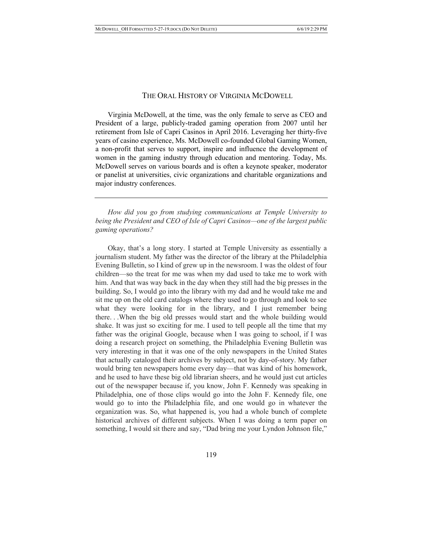### THE ORAL HISTORY OF VIRGINIA MCDOWELL

Virginia McDowell, at the time, was the only female to serve as CEO and President of a large, publicly-traded gaming operation from 2007 until her retirement from Isle of Capri Casinos in April 2016. Leveraging her thirty-five years of casino experience, Ms. McDowell co-founded Global Gaming Women, a non-profit that serves to support, inspire and influence the development of women in the gaming industry through education and mentoring. Today, Ms. McDowell serves on various boards and is often a keynote speaker, moderator or panelist at universities, civic organizations and charitable organizations and major industry conferences.

*How did you go from studying communications at Temple University to being the President and CEO of Isle of Capri Casinos—one of the largest public gaming operations?*

Okay, that's a long story. I started at Temple University as essentially a journalism student. My father was the director of the library at the Philadelphia Evening Bulletin, so I kind of grew up in the newsroom. I was the oldest of four children—so the treat for me was when my dad used to take me to work with him. And that was way back in the day when they still had the big presses in the building. So, I would go into the library with my dad and he would take me and sit me up on the old card catalogs where they used to go through and look to see what they were looking for in the library, and I just remember being there. . .When the big old presses would start and the whole building would shake. It was just so exciting for me. I used to tell people all the time that my father was the original Google, because when I was going to school, if I was doing a research project on something, the Philadelphia Evening Bulletin was very interesting in that it was one of the only newspapers in the United States that actually cataloged their archives by subject, not by day-of-story. My father would bring ten newspapers home every day—that was kind of his homework, and he used to have these big old librarian sheers, and he would just cut articles out of the newspaper because if, you know, John F. Kennedy was speaking in Philadelphia, one of those clips would go into the John F. Kennedy file, one would go to into the Philadelphia file, and one would go in whatever the organization was. So, what happened is, you had a whole bunch of complete historical archives of different subjects. When I was doing a term paper on something, I would sit there and say, "Dad bring me your Lyndon Johnson file,"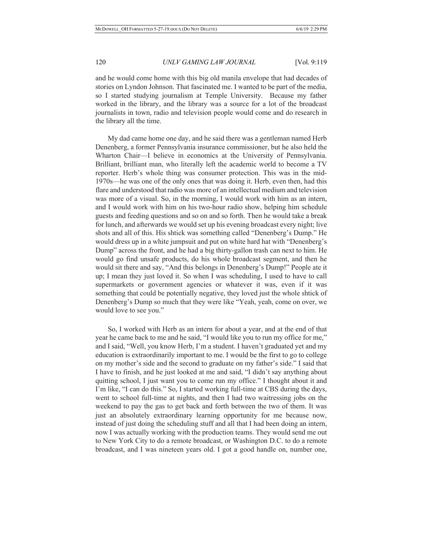and he would come home with this big old manila envelope that had decades of stories on Lyndon Johnson. That fascinated me. I wanted to be part of the media, so I started studying journalism at Temple University. Because my father worked in the library, and the library was a source for a lot of the broadcast journalists in town, radio and television people would come and do research in the library all the time.

My dad came home one day, and he said there was a gentleman named Herb Denenberg, a former Pennsylvania insurance commissioner, but he also held the Wharton Chair––I believe in economics at the University of Pennsylvania. Brilliant, brilliant man, who literally left the academic world to become a TV reporter. Herb's whole thing was consumer protection. This was in the mid-1970s––he was one of the only ones that was doing it. Herb, even then, had this flare and understood that radio was more of an intellectual medium and television was more of a visual. So, in the morning, I would work with him as an intern, and I would work with him on his two-hour radio show, helping him schedule guests and feeding questions and so on and so forth. Then he would take a break for lunch, and afterwards we would set up his evening broadcast every night; live shots and all of this. His shtick was something called "Denenberg's Dump." He would dress up in a white jumpsuit and put on white hard hat with "Denenberg's Dump" across the front, and he had a big thirty-gallon trash can next to him. He would go find unsafe products, do his whole broadcast segment, and then he would sit there and say, "And this belongs in Denenberg's Dump!" People ate it up; I mean they just loved it. So when I was scheduling, I used to have to call supermarkets or government agencies or whatever it was, even if it was something that could be potentially negative, they loved just the whole shtick of Denenberg's Dump so much that they were like "Yeah, yeah, come on over, we would love to see you."

So, I worked with Herb as an intern for about a year, and at the end of that year he came back to me and he said, "I would like you to run my office for me," and I said, "Well, you know Herb, I'm a student. I haven't graduated yet and my education is extraordinarily important to me. I would be the first to go to college on my mother's side and the second to graduate on my father's side." I said that I have to finish, and he just looked at me and said, "I didn't say anything about quitting school, I just want you to come run my office." I thought about it and I'm like, "I can do this." So, I started working full-time at CBS during the days, went to school full-time at nights, and then I had two waitressing jobs on the weekend to pay the gas to get back and forth between the two of them. It was just an absolutely extraordinary learning opportunity for me because now, instead of just doing the scheduling stuff and all that I had been doing an intern, now I was actually working with the production teams. They would send me out to New York City to do a remote broadcast, or Washington D.C. to do a remote broadcast, and I was nineteen years old. I got a good handle on, number one,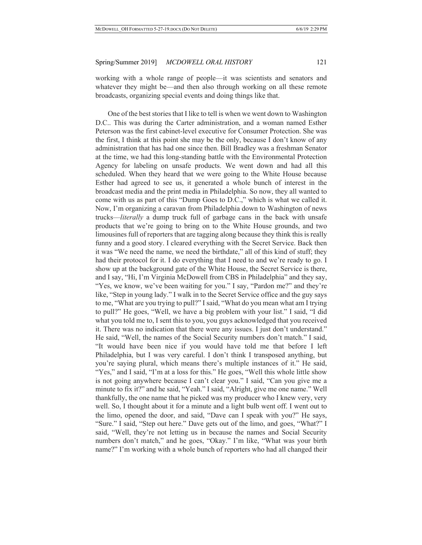working with a whole range of people—it was scientists and senators and whatever they might be—and then also through working on all these remote broadcasts, organizing special events and doing things like that.

One of the best stories that I like to tell is when we went down to Washington D.C.. This was during the Carter administration, and a woman named Esther Peterson was the first cabinet-level executive for Consumer Protection. She was the first, I think at this point she may be the only, because I don't know of any administration that has had one since then. Bill Bradley was a freshman Senator at the time, we had this long-standing battle with the Environmental Protection Agency for labeling on unsafe products. We went down and had all this scheduled. When they heard that we were going to the White House because Esther had agreed to see us, it generated a whole bunch of interest in the broadcast media and the print media in Philadelphia. So now, they all wanted to come with us as part of this "Dump Goes to D.C.," which is what we called it. Now, I'm organizing a caravan from Philadelphia down to Washington of news trucks––*literally* a dump truck full of garbage cans in the back with unsafe products that we're going to bring on to the White House grounds, and two limousines full of reporters that are tagging along because they think this is really funny and a good story. I cleared everything with the Secret Service. Back then it was "We need the name, we need the birthdate," all of this kind of stuff; they had their protocol for it. I do everything that I need to and we're ready to go. I show up at the background gate of the White House, the Secret Service is there, and I say, "Hi, I'm Virginia McDowell from CBS in Philadelphia" and they say, "Yes, we know, we've been waiting for you." I say, "Pardon me?" and they're like, "Step in young lady." I walk in to the Secret Service office and the guy says to me, "What are you trying to pull?" I said, "What do you mean what am I trying to pull?" He goes, "Well, we have a big problem with your list." I said, "I did what you told me to, I sent this to you, you guys acknowledged that you received it. There was no indication that there were any issues. I just don't understand." He said, "Well, the names of the Social Security numbers don't match." I said, "It would have been nice if you would have told me that before I left Philadelphia, but I was very careful. I don't think I transposed anything, but you're saying plural, which means there's multiple instances of it." He said, "Yes," and I said, "I'm at a loss for this." He goes, "Well this whole little show is not going anywhere because I can't clear you." I said, "Can you give me a minute to fix it?" and he said, "Yeah." I said, "Alright, give me one name." Well thankfully, the one name that he picked was my producer who I knew very, very well. So, I thought about it for a minute and a light bulb went off. I went out to the limo, opened the door, and said, "Dave can I speak with you?" He says, "Sure." I said, "Step out here." Dave gets out of the limo, and goes, "What?" I said, "Well, they're not letting us in because the names and Social Security numbers don't match," and he goes, "Okay." I'm like, "What was your birth name?" I'm working with a whole bunch of reporters who had all changed their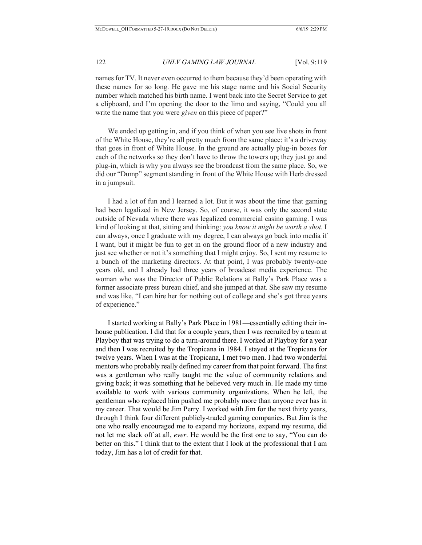names for TV. It never even occurred to them because they'd been operating with these names for so long. He gave me his stage name and his Social Security number which matched his birth name. I went back into the Secret Service to get a clipboard, and I'm opening the door to the limo and saying, "Could you all write the name that you were *given* on this piece of paper?"

We ended up getting in, and if you think of when you see live shots in front of the White House, they're all pretty much from the same place: it's a driveway that goes in front of White House. In the ground are actually plug-in boxes for each of the networks so they don't have to throw the towers up; they just go and plug-in, which is why you always see the broadcast from the same place. So, we did our "Dump" segment standing in front of the White House with Herb dressed in a jumpsuit.

I had a lot of fun and I learned a lot. But it was about the time that gaming had been legalized in New Jersey. So, of course, it was only the second state outside of Nevada where there was legalized commercial casino gaming. I was kind of looking at that, sitting and thinking: *you know it might be worth a shot*. I can always, once I graduate with my degree, I can always go back into media if I want, but it might be fun to get in on the ground floor of a new industry and just see whether or not it's something that I might enjoy. So, I sent my resume to a bunch of the marketing directors. At that point, I was probably twenty-one years old, and I already had three years of broadcast media experience. The woman who was the Director of Public Relations at Bally's Park Place was a former associate press bureau chief, and she jumped at that. She saw my resume and was like, "I can hire her for nothing out of college and she's got three years of experience."

I started working at Bally's Park Place in 1981—essentially editing their inhouse publication. I did that for a couple years, then I was recruited by a team at Playboy that was trying to do a turn-around there. I worked at Playboy for a year and then I was recruited by the Tropicana in 1984. I stayed at the Tropicana for twelve years. When I was at the Tropicana, I met two men. I had two wonderful mentors who probably really defined my career from that point forward. The first was a gentleman who really taught me the value of community relations and giving back; it was something that he believed very much in. He made my time available to work with various community organizations. When he left, the gentleman who replaced him pushed me probably more than anyone ever has in my career. That would be Jim Perry. I worked with Jim for the next thirty years, through I think four different publicly-traded gaming companies. But Jim is the one who really encouraged me to expand my horizons, expand my resume, did not let me slack off at all, *ever*. He would be the first one to say, "You can do better on this." I think that to the extent that I look at the professional that I am today, Jim has a lot of credit for that.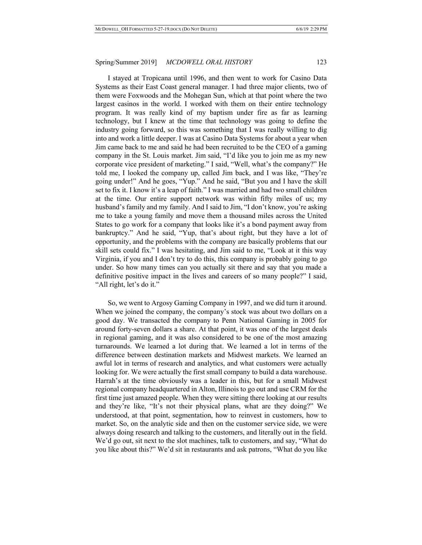I stayed at Tropicana until 1996, and then went to work for Casino Data Systems as their East Coast general manager. I had three major clients, two of them were Foxwoods and the Mohegan Sun, which at that point where the two largest casinos in the world. I worked with them on their entire technology program. It was really kind of my baptism under fire as far as learning technology, but I knew at the time that technology was going to define the industry going forward, so this was something that I was really willing to dig into and work a little deeper. I was at Casino Data Systems for about a year when Jim came back to me and said he had been recruited to be the CEO of a gaming company in the St. Louis market. Jim said, "I'd like you to join me as my new corporate vice president of marketing." I said, "Well, what's the company?" He told me, I looked the company up, called Jim back, and I was like, "They're going under!" And he goes, "Yup." And he said, "But you and I have the skill set to fix it. I know it's a leap of faith." I was married and had two small children at the time. Our entire support network was within fifty miles of us; my husband's family and my family. And I said to Jim, "I don't know, you're asking me to take a young family and move them a thousand miles across the United States to go work for a company that looks like it's a bond payment away from bankruptcy." And he said, "Yup, that's about right, but they have a lot of opportunity, and the problems with the company are basically problems that our skill sets could fix." I was hesitating, and Jim said to me, "Look at it this way Virginia, if you and I don't try to do this, this company is probably going to go under. So how many times can you actually sit there and say that you made a definitive positive impact in the lives and careers of so many people?" I said, "All right, let's do it."

So, we went to Argosy Gaming Company in 1997, and we did turn it around. When we joined the company, the company's stock was about two dollars on a good day. We transacted the company to Penn National Gaming in 2005 for around forty-seven dollars a share. At that point, it was one of the largest deals in regional gaming, and it was also considered to be one of the most amazing turnarounds. We learned a lot during that. We learned a lot in terms of the difference between destination markets and Midwest markets. We learned an awful lot in terms of research and analytics, and what customers were actually looking for. We were actually the first small company to build a data warehouse. Harrah's at the time obviously was a leader in this, but for a small Midwest regional company headquartered in Alton, Illinois to go out and use CRM for the first time just amazed people. When they were sitting there looking at our results and they're like, "It's not their physical plans, what are they doing?" We understood, at that point, segmentation, how to reinvest in customers, how to market. So, on the analytic side and then on the customer service side, we were always doing research and talking to the customers, and literally out in the field. We'd go out, sit next to the slot machines, talk to customers, and say, "What do you like about this?" We'd sit in restaurants and ask patrons, "What do you like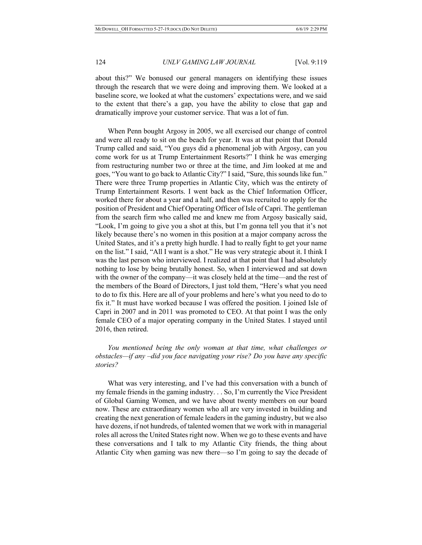about this?" We bonused our general managers on identifying these issues through the research that we were doing and improving them. We looked at a baseline score, we looked at what the customers' expectations were, and we said to the extent that there's a gap, you have the ability to close that gap and dramatically improve your customer service. That was a lot of fun.

When Penn bought Argosy in 2005, we all exercised our change of control and were all ready to sit on the beach for year. It was at that point that Donald Trump called and said, "You guys did a phenomenal job with Argosy, can you come work for us at Trump Entertainment Resorts?" I think he was emerging from restructuring number two or three at the time, and Jim looked at me and goes, "You want to go back to Atlantic City?" I said, "Sure, this sounds like fun." There were three Trump properties in Atlantic City, which was the entirety of Trump Entertainment Resorts. I went back as the Chief Information Officer, worked there for about a year and a half, and then was recruited to apply for the position of President and Chief Operating Officer of Isle of Capri. The gentleman from the search firm who called me and knew me from Argosy basically said, "Look, I'm going to give you a shot at this, but I'm gonna tell you that it's not likely because there's no women in this position at a major company across the United States, and it's a pretty high hurdle. I had to really fight to get your name on the list." I said, "All I want is a shot." He was very strategic about it. I think I was the last person who interviewed. I realized at that point that I had absolutely nothing to lose by being brutally honest. So, when I interviewed and sat down with the owner of the company—it was closely held at the time—and the rest of the members of the Board of Directors, I just told them, "Here's what you need to do to fix this. Here are all of your problems and here's what you need to do to fix it." It must have worked because I was offered the position. I joined Isle of Capri in 2007 and in 2011 was promoted to CEO. At that point I was the only female CEO of a major operating company in the United States. I stayed until 2016, then retired.

*You mentioned being the only woman at that time, what challenges or obstacles—if any –did you face navigating your rise? Do you have any specific stories?*

What was very interesting, and I've had this conversation with a bunch of my female friends in the gaming industry. . . So, I'm currently the Vice President of Global Gaming Women, and we have about twenty members on our board now. These are extraordinary women who all are very invested in building and creating the next generation of female leaders in the gaming industry, but we also have dozens, if not hundreds, of talented women that we work with in managerial roles all across the United States right now. When we go to these events and have these conversations and I talk to my Atlantic City friends, the thing about Atlantic City when gaming was new there—so I'm going to say the decade of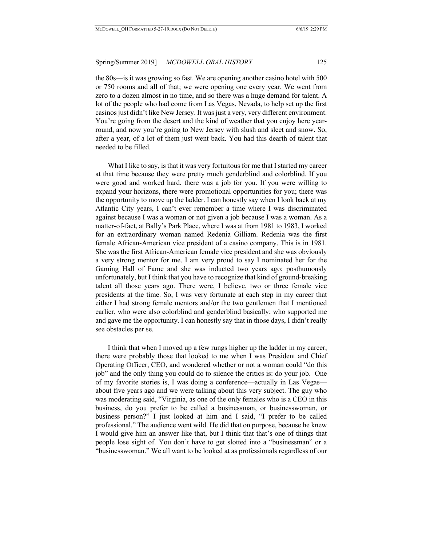the 80s—is it was growing so fast. We are opening another casino hotel with 500 or 750 rooms and all of that; we were opening one every year. We went from zero to a dozen almost in no time, and so there was a huge demand for talent. A lot of the people who had come from Las Vegas, Nevada, to help set up the first casinos just didn't like New Jersey. It was just a very, very different environment. You're going from the desert and the kind of weather that you enjoy here yearround, and now you're going to New Jersey with slush and sleet and snow. So, after a year, of a lot of them just went back. You had this dearth of talent that needed to be filled.

What I like to say, is that it was very fortuitous for me that I started my career at that time because they were pretty much genderblind and colorblind. If you were good and worked hard, there was a job for you. If you were willing to expand your horizons, there were promotional opportunities for you; there was the opportunity to move up the ladder. I can honestly say when I look back at my Atlantic City years, I can't ever remember a time where I was discriminated against because I was a woman or not given a job because I was a woman. As a matter-of-fact, at Bally's Park Place, where I was at from 1981 to 1983, I worked for an extraordinary woman named Redenia Gilliam. Redenia was the first female African-American vice president of a casino company. This is in 1981. She was the first African-American female vice president and she was obviously a very strong mentor for me. I am very proud to say I nominated her for the Gaming Hall of Fame and she was inducted two years ago; posthumously unfortunately, but I think that you have to recognize that kind of ground-breaking talent all those years ago. There were, I believe, two or three female vice presidents at the time. So, I was very fortunate at each step in my career that either I had strong female mentors and/or the two gentlemen that I mentioned earlier, who were also colorblind and genderblind basically; who supported me and gave me the opportunity. I can honestly say that in those days, I didn't really see obstacles per se.

I think that when I moved up a few rungs higher up the ladder in my career, there were probably those that looked to me when I was President and Chief Operating Officer, CEO, and wondered whether or not a woman could "do this job" and the only thing you could do to silence the critics is: do your job. One of my favorite stories is, I was doing a conference—actually in Las Vegas about five years ago and we were talking about this very subject. The guy who was moderating said, "Virginia, as one of the only females who is a CEO in this business, do you prefer to be called a businessman, or businesswoman, or business person?" I just looked at him and I said, "I prefer to be called professional." The audience went wild. He did that on purpose, because he knew I would give him an answer like that, but I think that that's one of things that people lose sight of. You don't have to get slotted into a "businessman" or a "businesswoman." We all want to be looked at as professionals regardless of our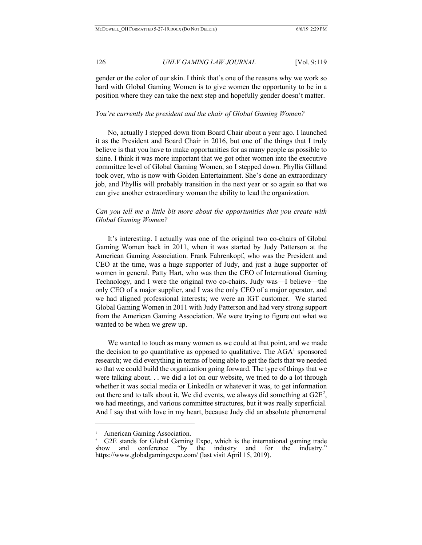gender or the color of our skin. I think that's one of the reasons why we work so hard with Global Gaming Women is to give women the opportunity to be in a position where they can take the next step and hopefully gender doesn't matter.

#### *You're currently the president and the chair of Global Gaming Women?*

No, actually I stepped down from Board Chair about a year ago. I launched it as the President and Board Chair in 2016, but one of the things that I truly believe is that you have to make opportunities for as many people as possible to shine. I think it was more important that we got other women into the executive committee level of Global Gaming Women, so I stepped down. Phyllis Gilland took over, who is now with Golden Entertainment. She's done an extraordinary job, and Phyllis will probably transition in the next year or so again so that we can give another extraordinary woman the ability to lead the organization.

## *Can you tell me a little bit more about the opportunities that you create with Global Gaming Women?*

It's interesting. I actually was one of the original two co-chairs of Global Gaming Women back in 2011, when it was started by Judy Patterson at the American Gaming Association. Frank Fahrenkopf, who was the President and CEO at the time, was a huge supporter of Judy, and just a huge supporter of women in general. Patty Hart, who was then the CEO of International Gaming Technology, and I were the original two co-chairs. Judy was—I believe—the only CEO of a major supplier, and I was the only CEO of a major operator, and we had aligned professional interests; we were an IGT customer. We started Global Gaming Women in 2011 with Judy Patterson and had very strong support from the American Gaming Association. We were trying to figure out what we wanted to be when we grew up.

We wanted to touch as many women as we could at that point, and we made the decision to go quantitative as opposed to qualitative. The  $AGA<sup>1</sup>$  sponsored research; we did everything in terms of being able to get the facts that we needed so that we could build the organization going forward. The type of things that we were talking about. . . we did a lot on our website, we tried to do a lot through whether it was social media or LinkedIn or whatever it was, to get information out there and to talk about it. We did events, we always did something at  $G2E^2$ , we had meetings, and various committee structures, but it was really superficial. And I say that with love in my heart, because Judy did an absolute phenomenal

 $\overline{a}$ 

American Gaming Association.

<sup>&</sup>lt;sup>2</sup> G2E stands for Global Gaming Expo, which is the international gaming trade show and conference "by the industry and for the industry." https://www.globalgamingexpo.com/ (last visit April 15, 2019).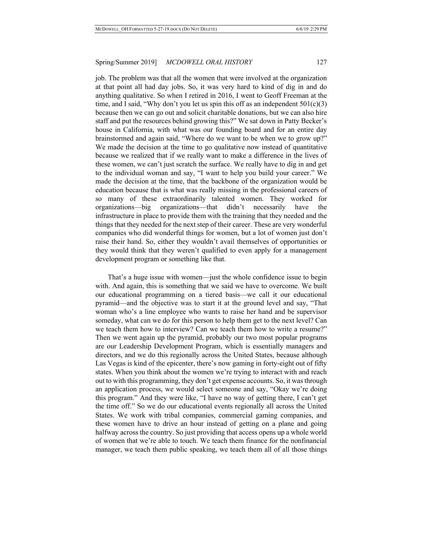job. The problem was that all the women that were involved at the organization at that point all had day jobs. So, it was very hard to kind of dig in and do anything qualitative. So when I retired in 2016, I went to Geoff Freeman at the time, and I said, "Why don't you let us spin this off as an independent  $501(c)(3)$ because then we can go out and solicit charitable donations, but we can also hire staff and put the resources behind growing this?" We sat down in Patty Becker's house in California, with what was our founding board and for an entire day brainstormed and again said, "Where do we want to be when we to grow up?" We made the decision at the time to go qualitative now instead of quantitative because we realized that if we really want to make a difference in the lives of these women, we can't just scratch the surface. We really have to dig in and get to the individual woman and say, "I want to help you build your career." We made the decision at the time, that the backbone of the organization would be education because that is what was really missing in the professional careers of so many of these extraordinarily talented women. They worked for organizations––big organizations––that didn't necessarily have the infrastructure in place to provide them with the training that they needed and the things that they needed for the next step of their career. These are very wonderful companies who did wonderful things for women, but a lot of women just don't raise their hand. So, either they wouldn't avail themselves of opportunities or they would think that they weren't qualified to even apply for a management development program or something like that.

That's a huge issue with women—just the whole confidence issue to begin with. And again, this is something that we said we have to overcome. We built our educational programming on a tiered basis—we call it our educational pyramid—and the objective was to start it at the ground level and say, "That woman who's a line employee who wants to raise her hand and be supervisor someday, what can we do for this person to help them get to the next level? Can we teach them how to interview? Can we teach them how to write a resume?" Then we went again up the pyramid, probably our two most popular programs are our Leadership Development Program, which is essentially managers and directors, and we do this regionally across the United States, because although Las Vegas is kind of the epicenter, there's now gaming in forty-eight out of fifty states. When you think about the women we're trying to interact with and reach out to with this programming, they don't get expense accounts. So, it was through an application process, we would select someone and say, "Okay we're doing this program." And they were like, "I have no way of getting there, I can't get the time off." So we do our educational events regionally all across the United States. We work with tribal companies, commercial gaming companies, and these women have to drive an hour instead of getting on a plane and going halfway across the country. So just providing that access opens up a whole world of women that we're able to touch. We teach them finance for the nonfinancial manager, we teach them public speaking, we teach them all of all those things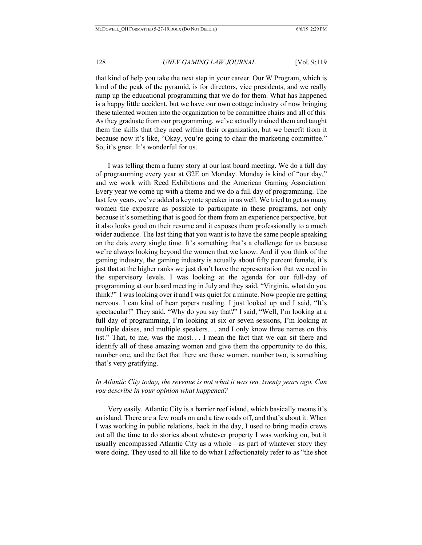that kind of help you take the next step in your career. Our W Program, which is kind of the peak of the pyramid, is for directors, vice presidents, and we really ramp up the educational programming that we do for them. What has happened is a happy little accident, but we have our own cottage industry of now bringing these talented women into the organization to be committee chairs and all of this. As they graduate from our programming, we've actually trained them and taught them the skills that they need within their organization, but we benefit from it because now it's like, "Okay, you're going to chair the marketing committee." So, it's great. It's wonderful for us.

I was telling them a funny story at our last board meeting. We do a full day of programming every year at G2E on Monday. Monday is kind of "our day," and we work with Reed Exhibitions and the American Gaming Association. Every year we come up with a theme and we do a full day of programming. The last few years, we've added a keynote speaker in as well. We tried to get as many women the exposure as possible to participate in these programs, not only because it's something that is good for them from an experience perspective, but it also looks good on their resume and it exposes them professionally to a much wider audience. The last thing that you want is to have the same people speaking on the dais every single time. It's something that's a challenge for us because we're always looking beyond the women that we know. And if you think of the gaming industry, the gaming industry is actually about fifty percent female, it's just that at the higher ranks we just don't have the representation that we need in the supervisory levels. I was looking at the agenda for our full-day of programming at our board meeting in July and they said, "Virginia, what do you think?" I was looking over it and I was quiet for a minute. Now people are getting nervous. I can kind of hear papers rustling. I just looked up and I said, "It's spectacular!" They said, "Why do you say that?" I said, "Well, I'm looking at a full day of programming, I'm looking at six or seven sessions, I'm looking at multiple daises, and multiple speakers. . . and I only know three names on this list." That, to me, was the most. . . I mean the fact that we can sit there and identify all of these amazing women and give them the opportunity to do this, number one, and the fact that there are those women, number two, is something that's very gratifying.

## *In Atlantic City today, the revenue is not what it was ten, twenty years ago. Can you describe in your opinion what happened?*

Very easily. Atlantic City is a barrier reef island, which basically means it's an island. There are a few roads on and a few roads off, and that's about it. When I was working in public relations, back in the day, I used to bring media crews out all the time to do stories about whatever property I was working on, but it usually encompassed Atlantic City as a whole––as part of whatever story they were doing. They used to all like to do what I affectionately refer to as "the shot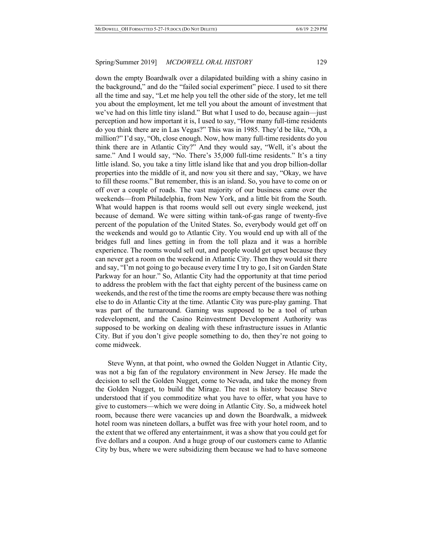down the empty Boardwalk over a dilapidated building with a shiny casino in the background," and do the "failed social experiment" piece. I used to sit there all the time and say, "Let me help you tell the other side of the story, let me tell you about the employment, let me tell you about the amount of investment that we've had on this little tiny island." But what I used to do, because again––just perception and how important it is, I used to say, "How many full-time residents do you think there are in Las Vegas?" This was in 1985. They'd be like, "Oh, a million?" I'd say, "Oh, close enough. Now, how many full-time residents do you think there are in Atlantic City?" And they would say, "Well, it's about the same." And I would say, "No. There's 35,000 full-time residents." It's a tiny little island. So, you take a tiny little island like that and you drop billion-dollar properties into the middle of it, and now you sit there and say, "Okay, we have to fill these rooms." But remember, this is an island. So, you have to come on or off over a couple of roads. The vast majority of our business came over the weekends––from Philadelphia, from New York, and a little bit from the South. What would happen is that rooms would sell out every single weekend, just because of demand. We were sitting within tank-of-gas range of twenty-five percent of the population of the United States. So, everybody would get off on the weekends and would go to Atlantic City. You would end up with all of the bridges full and lines getting in from the toll plaza and it was a horrible experience. The rooms would sell out, and people would get upset because they can never get a room on the weekend in Atlantic City. Then they would sit there and say, "I'm not going to go because every time I try to go, I sit on Garden State Parkway for an hour." So, Atlantic City had the opportunity at that time period to address the problem with the fact that eighty percent of the business came on weekends, and the rest of the time the rooms are empty because there was nothing else to do in Atlantic City at the time. Atlantic City was pure-play gaming. That was part of the turnaround. Gaming was supposed to be a tool of urban redevelopment, and the Casino Reinvestment Development Authority was supposed to be working on dealing with these infrastructure issues in Atlantic City. But if you don't give people something to do, then they're not going to come midweek.

Steve Wynn, at that point, who owned the Golden Nugget in Atlantic City, was not a big fan of the regulatory environment in New Jersey. He made the decision to sell the Golden Nugget, come to Nevada, and take the money from the Golden Nugget, to build the Mirage. The rest is history because Steve understood that if you commoditize what you have to offer, what you have to give to customers––which we were doing in Atlantic City. So, a midweek hotel room, because there were vacancies up and down the Boardwalk, a midweek hotel room was nineteen dollars, a buffet was free with your hotel room, and to the extent that we offered any entertainment, it was a show that you could get for five dollars and a coupon. And a huge group of our customers came to Atlantic City by bus, where we were subsidizing them because we had to have someone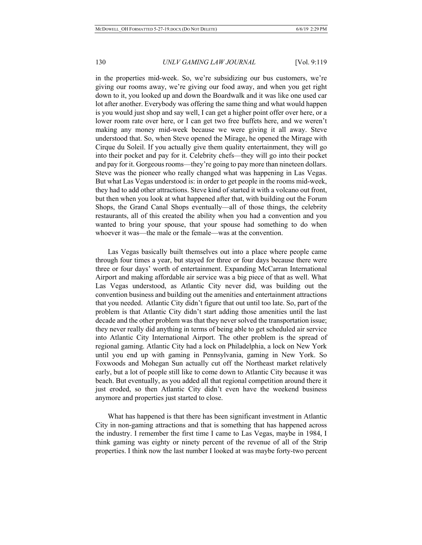in the properties mid-week. So, we're subsidizing our bus customers, we're giving our rooms away, we're giving our food away, and when you get right down to it, you looked up and down the Boardwalk and it was like one used car lot after another. Everybody was offering the same thing and what would happen is you would just shop and say well, I can get a higher point offer over here, or a lower room rate over here, or I can get two free buffets here, and we weren't making any money mid-week because we were giving it all away. Steve understood that. So, when Steve opened the Mirage, he opened the Mirage with Cirque du Soleil. If you actually give them quality entertainment, they will go into their pocket and pay for it. Celebrity chefs—they will go into their pocket and pay for it. Gorgeous rooms—they're going to pay more than nineteen dollars. Steve was the pioneer who really changed what was happening in Las Vegas. But what Las Vegas understood is: in order to get people in the rooms mid-week, they had to add other attractions. Steve kind of started it with a volcano out front, but then when you look at what happened after that, with building out the Forum Shops, the Grand Canal Shops eventually––all of those things, the celebrity restaurants, all of this created the ability when you had a convention and you wanted to bring your spouse, that your spouse had something to do when whoever it was—the male or the female—was at the convention.

Las Vegas basically built themselves out into a place where people came through four times a year, but stayed for three or four days because there were three or four days' worth of entertainment. Expanding McCarran International Airport and making affordable air service was a big piece of that as well. What Las Vegas understood, as Atlantic City never did, was building out the convention business and building out the amenities and entertainment attractions that you needed. Atlantic City didn't figure that out until too late. So, part of the problem is that Atlantic City didn't start adding those amenities until the last decade and the other problem was that they never solved the transportation issue; they never really did anything in terms of being able to get scheduled air service into Atlantic City International Airport. The other problem is the spread of regional gaming. Atlantic City had a lock on Philadelphia, a lock on New York until you end up with gaming in Pennsylvania, gaming in New York. So Foxwoods and Mohegan Sun actually cut off the Northeast market relatively early, but a lot of people still like to come down to Atlantic City because it was beach. But eventually, as you added all that regional competition around there it just eroded, so then Atlantic City didn't even have the weekend business anymore and properties just started to close.

What has happened is that there has been significant investment in Atlantic City in non-gaming attractions and that is something that has happened across the industry. I remember the first time I came to Las Vegas, maybe in 1984, I think gaming was eighty or ninety percent of the revenue of all of the Strip properties. I think now the last number I looked at was maybe forty-two percent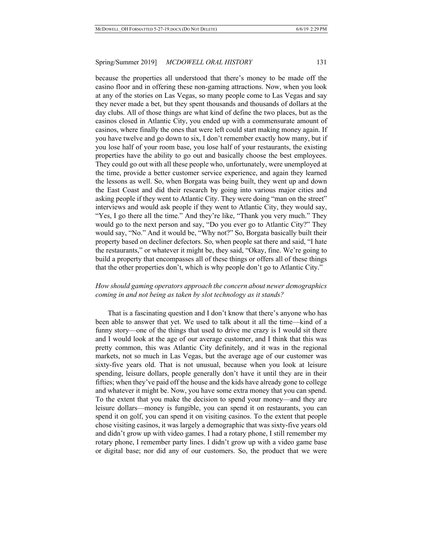because the properties all understood that there's money to be made off the casino floor and in offering these non-gaming attractions. Now, when you look at any of the stories on Las Vegas, so many people come to Las Vegas and say they never made a bet, but they spent thousands and thousands of dollars at the day clubs. All of those things are what kind of define the two places, but as the casinos closed in Atlantic City, you ended up with a commensurate amount of casinos, where finally the ones that were left could start making money again. If you have twelve and go down to six, I don't remember exactly how many, but if you lose half of your room base, you lose half of your restaurants, the existing properties have the ability to go out and basically choose the best employees. They could go out with all these people who, unfortunately, were unemployed at the time, provide a better customer service experience, and again they learned the lessons as well. So, when Borgata was being built, they went up and down the East Coast and did their research by going into various major cities and asking people if they went to Atlantic City. They were doing "man on the street" interviews and would ask people if they went to Atlantic City, they would say, "Yes, I go there all the time." And they're like, "Thank you very much." They would go to the next person and say, "Do you ever go to Atlantic City?" They would say, "No." And it would be, "Why not?" So, Borgata basically built their property based on decliner defectors. So, when people sat there and said, "I hate the restaurants," or whatever it might be, they said, "Okay, fine. We're going to build a property that encompasses all of these things or offers all of these things that the other properties don't, which is why people don't go to Atlantic City."

## *How should gaming operators approach the concern about newer demographics coming in and not being as taken by slot technology as it stands?*

That is a fascinating question and I don't know that there's anyone who has been able to answer that yet. We used to talk about it all the time—kind of a funny story—one of the things that used to drive me crazy is I would sit there and I would look at the age of our average customer, and I think that this was pretty common, this was Atlantic City definitely, and it was in the regional markets, not so much in Las Vegas, but the average age of our customer was sixty-five years old. That is not unusual, because when you look at leisure spending, leisure dollars, people generally don't have it until they are in their fifties; when they've paid off the house and the kids have already gone to college and whatever it might be. Now, you have some extra money that you can spend. To the extent that you make the decision to spend your money—and they are leisure dollars—money is fungible, you can spend it on restaurants, you can spend it on golf, you can spend it on visiting casinos. To the extent that people chose visiting casinos, it was largely a demographic that was sixty-five years old and didn't grow up with video games. I had a rotary phone, I still remember my rotary phone, I remember party lines. I didn't grow up with a video game base or digital base; nor did any of our customers. So, the product that we were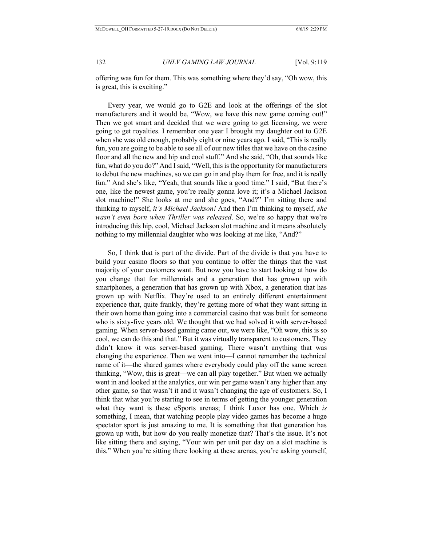offering was fun for them. This was something where they'd say, "Oh wow, this is great, this is exciting."

Every year, we would go to G2E and look at the offerings of the slot manufacturers and it would be, "Wow, we have this new game coming out!" Then we got smart and decided that we were going to get licensing, we were going to get royalties. I remember one year I brought my daughter out to G2E when she was old enough, probably eight or nine years ago. I said, "This is really fun, you are going to be able to see all of our new titles that we have on the casino floor and all the new and hip and cool stuff." And she said, "Oh, that sounds like fun, what do you do?" And I said, "Well, this is the opportunity for manufacturers to debut the new machines, so we can go in and play them for free, and it is really fun." And she's like, "Yeah, that sounds like a good time." I said, "But there's one, like the newest game, you're really gonna love it; it's a Michael Jackson slot machine!" She looks at me and she goes, "And?" I'm sitting there and thinking to myself, *it's Michael Jackson!* And then I'm thinking to myself, *she wasn't even born when Thriller was released*. So, we're so happy that we're introducing this hip, cool, Michael Jackson slot machine and it means absolutely nothing to my millennial daughter who was looking at me like, "And?"

So, I think that is part of the divide. Part of the divide is that you have to build your casino floors so that you continue to offer the things that the vast majority of your customers want. But now you have to start looking at how do you change that for millennials and a generation that has grown up with smartphones, a generation that has grown up with Xbox, a generation that has grown up with Netflix. They're used to an entirely different entertainment experience that, quite frankly, they're getting more of what they want sitting in their own home than going into a commercial casino that was built for someone who is sixty-five years old. We thought that we had solved it with server-based gaming. When server-based gaming came out, we were like, "Oh wow, this is so cool, we can do this and that." But it was virtually transparent to customers. They didn't know it was server-based gaming. There wasn't anything that was changing the experience. Then we went into—I cannot remember the technical name of it—the shared games where everybody could play off the same screen thinking, "Wow, this is great––we can all play together." But when we actually went in and looked at the analytics, our win per game wasn't any higher than any other game, so that wasn't it and it wasn't changing the age of customers. So, I think that what you're starting to see in terms of getting the younger generation what they want is these eSports arenas; I think Luxor has one. Which *is* something, I mean, that watching people play video games has become a huge spectator sport is just amazing to me. It is something that that generation has grown up with, but how do you really monetize that? That's the issue. It's not like sitting there and saying, "Your win per unit per day on a slot machine is this." When you're sitting there looking at these arenas, you're asking yourself,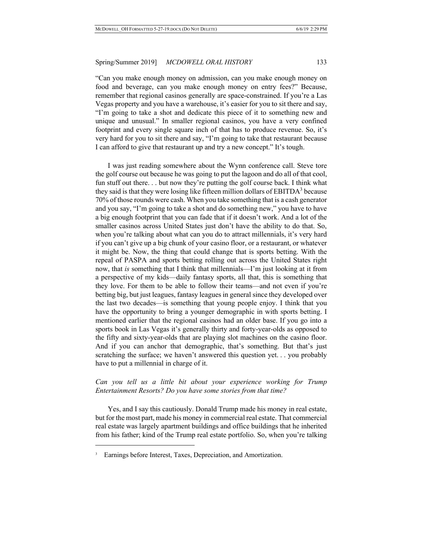"Can you make enough money on admission, can you make enough money on food and beverage, can you make enough money on entry fees?" Because, remember that regional casinos generally are space-constrained. If you're a Las Vegas property and you have a warehouse, it's easier for you to sit there and say, "I'm going to take a shot and dedicate this piece of it to something new and unique and unusual." In smaller regional casinos, you have a very confined footprint and every single square inch of that has to produce revenue. So, it's very hard for you to sit there and say, "I'm going to take that restaurant because I can afford to give that restaurant up and try a new concept." It's tough.

I was just reading somewhere about the Wynn conference call. Steve tore the golf course out because he was going to put the lagoon and do all of that cool, fun stuff out there. . . but now they're putting the golf course back. I think what they said is that they were losing like fifteen million dollars of  $EBITDA<sup>3</sup>$  because 70% of those rounds were cash. When you take something that is a cash generator and you say, "I'm going to take a shot and do something new," you have to have a big enough footprint that you can fade that if it doesn't work. And a lot of the smaller casinos across United States just don't have the ability to do that. So, when you're talking about what can you do to attract millennials, it's very hard if you can't give up a big chunk of your casino floor, or a restaurant, or whatever it might be. Now, the thing that could change that is sports betting. With the repeal of PASPA and sports betting rolling out across the United States right now, that *is* something that I think that millennials—I'm just looking at it from a perspective of my kids—daily fantasy sports, all that, this is something that they love. For them to be able to follow their teams—and not even if you're betting big, but just leagues, fantasy leagues in general since they developed over the last two decades—is something that young people enjoy. I think that you have the opportunity to bring a younger demographic in with sports betting. I mentioned earlier that the regional casinos had an older base. If you go into a sports book in Las Vegas it's generally thirty and forty-year-olds as opposed to the fifty and sixty-year-olds that are playing slot machines on the casino floor. And if you can anchor that demographic, that's something. But that's just scratching the surface; we haven't answered this question yet. . . you probably have to put a millennial in charge of it.

## *Can you tell us a little bit about your experience working for Trump Entertainment Resorts? Do you have some stories from that time?*

Yes, and I say this cautiously. Donald Trump made his money in real estate, but for the most part, made his money in commercial real estate. That commercial real estate was largely apartment buildings and office buildings that he inherited from his father; kind of the Trump real estate portfolio. So, when you're talking

 $\overline{a}$ 

<sup>&</sup>lt;sup>3</sup> Earnings before Interest, Taxes, Depreciation, and Amortization.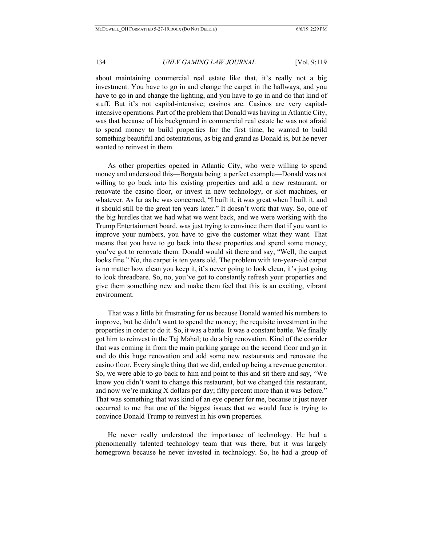about maintaining commercial real estate like that, it's really not a big investment. You have to go in and change the carpet in the hallways, and you have to go in and change the lighting, and you have to go in and do that kind of stuff. But it's not capital-intensive; casinos are. Casinos are very capitalintensive operations. Part of the problem that Donald was having in Atlantic City, was that because of his background in commercial real estate he was not afraid to spend money to build properties for the first time, he wanted to build something beautiful and ostentatious, as big and grand as Donald is, but he never wanted to reinvest in them.

As other properties opened in Atlantic City, who were willing to spend money and understood this—Borgata being a perfect example—Donald was not willing to go back into his existing properties and add a new restaurant, or renovate the casino floor, or invest in new technology, or slot machines, or whatever. As far as he was concerned, "I built it, it was great when I built it, and it should still be the great ten years later." It doesn't work that way. So, one of the big hurdles that we had what we went back, and we were working with the Trump Entertainment board, was just trying to convince them that if you want to improve your numbers, you have to give the customer what they want. That means that you have to go back into these properties and spend some money; you've got to renovate them. Donald would sit there and say, "Well, the carpet looks fine." No, the carpet is ten years old. The problem with ten-year-old carpet is no matter how clean you keep it, it's never going to look clean, it's just going to look threadbare. So, no, you've got to constantly refresh your properties and give them something new and make them feel that this is an exciting, vibrant environment.

That was a little bit frustrating for us because Donald wanted his numbers to improve, but he didn't want to spend the money; the requisite investment in the properties in order to do it. So, it was a battle. It was a constant battle. We finally got him to reinvest in the Taj Mahal; to do a big renovation. Kind of the corrider that was coming in from the main parking garage on the second floor and go in and do this huge renovation and add some new restaurants and renovate the casino floor. Every single thing that we did, ended up being a revenue generator. So, we were able to go back to him and point to this and sit there and say, "We know you didn't want to change this restaurant, but we changed this restaurant, and now we're making X dollars per day; fifty percent more than it was before." That was something that was kind of an eye opener for me, because it just never occurred to me that one of the biggest issues that we would face is trying to convince Donald Trump to reinvest in his own properties.

He never really understood the importance of technology. He had a phenomenally talented technology team that was there, but it was largely homegrown because he never invested in technology. So, he had a group of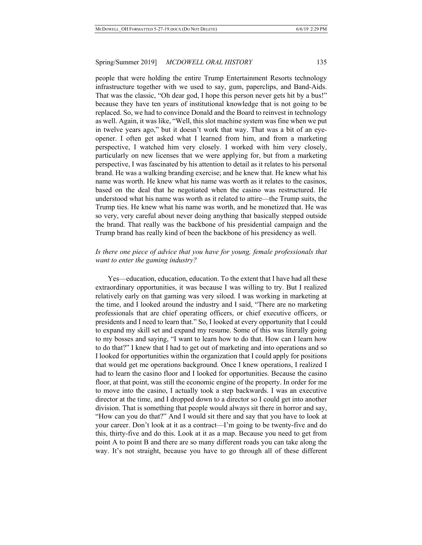people that were holding the entire Trump Entertainment Resorts technology infrastructure together with we used to say, gum, paperclips, and Band-Aids. That was the classic, "Oh dear god, I hope this person never gets hit by a bus!" because they have ten years of institutional knowledge that is not going to be replaced. So, we had to convince Donald and the Board to reinvest in technology as well. Again, it was like, "Well, this slot machine system was fine when we put in twelve years ago," but it doesn't work that way. That was a bit of an eyeopener. I often get asked what I learned from him, and from a marketing perspective, I watched him very closely. I worked with him very closely, particularly on new licenses that we were applying for, but from a marketing perspective, I was fascinated by his attention to detail as it relates to his personal brand. He was a walking branding exercise; and he knew that. He knew what his name was worth. He knew what his name was worth as it relates to the casinos, based on the deal that he negotiated when the casino was restructured. He understood what his name was worth as it related to attire––the Trump suits, the Trump ties. He knew what his name was worth, and he monetized that. He was so very, very careful about never doing anything that basically stepped outside the brand. That really was the backbone of his presidential campaign and the Trump brand has really kind of been the backbone of his presidency as well.

## *Is there one piece of advice that you have for young, female professionals that want to enter the gaming industry?*

Yes––education, education, education. To the extent that I have had all these extraordinary opportunities, it was because I was willing to try. But I realized relatively early on that gaming was very siloed. I was working in marketing at the time, and I looked around the industry and I said, "There are no marketing professionals that are chief operating officers, or chief executive officers, or presidents and I need to learn that." So, I looked at every opportunity that I could to expand my skill set and expand my resume. Some of this was literally going to my bosses and saying, "I want to learn how to do that. How can I learn how to do that?" I knew that I had to get out of marketing and into operations and so I looked for opportunities within the organization that I could apply for positions that would get me operations background. Once I knew operations, I realized I had to learn the casino floor and I looked for opportunities. Because the casino floor, at that point, was still the economic engine of the property. In order for me to move into the casino, I actually took a step backwards. I was an executive director at the time, and I dropped down to a director so I could get into another division. That is something that people would always sit there in horror and say, "How can you do that?" And I would sit there and say that you have to look at your career. Don't look at it as a contract—I'm going to be twenty-five and do this, thirty-five and do this. Look at it as a map. Because you need to get from point A to point B and there are so many different roads you can take along the way. It's not straight, because you have to go through all of these different